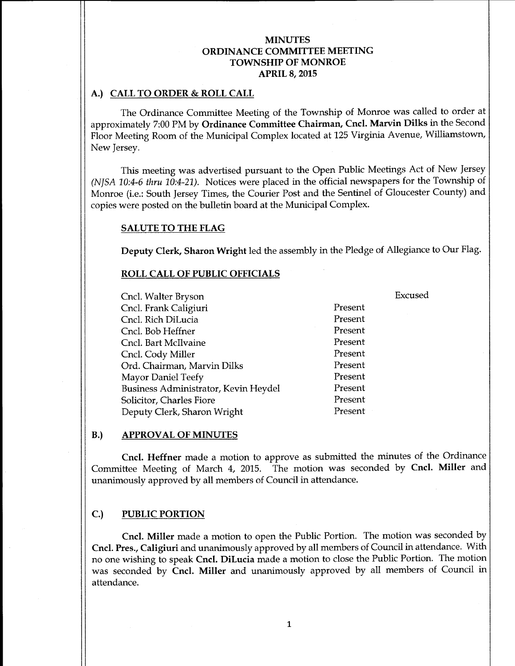## A.) CALL TO ORDER & ROLL CALL

The Ordinance Committee Meeting of the Township of Monroe was called to order at approximately 7:00 PM by Ordinance Committee Chairman, Cncl. Marvin Dilks in the Second Floor Meeting Room of the Municipal Complex located at 125 Virginia Avenue, Williamstown, New Jersey.

This meeting was advertised pursuant to the Open Public Meetings Act of New Jersey NJSA 10:4-6 thru 10:4-21). Notices were placed in the official newspapers for the Township of Monroe (i.e.: South Jersey Times, the Courier Post and the Sentinel of Gloucester County) and copies were posted on the bulletin board at the Municipal Complex.

#### SALUTE TO THE FLAG

Deputy Clerk, Sharon Wright led the assembly in the Pledge of Allegiance to Our Flag.

#### ROLL CALL OF PUBLIC OFFICIALS

Cncl. Walter Bryson Excused Cncl. Frank Caligiuri Present Cncl. Rich DiLucia Present Cncl. Bob Heffner Present Cncl. Bart McIlvaine Present Cncl. Cody Miller<br>
Ord. Chairman. Marvin Dilks<br>
Present Ord. Chairman, Marvin Dilks Mayor Daniel Teefy<br>Business Administrator. Kevin Hevdel Present Business Administrator, Kevin Heydel Solicitor, Charles Fiore Present Deputy Clerk, Sharon Wright Present

### B.) APPROVAL OF MINUTES

Cncl. Heffner made a motion to approve as submitted the minutes of the Ordinance Committee Meeting of March 4, 2015. The motion was seconded by Cncl. Miller and unanimously approved by all members of Council in attendance.

### C.) PUBLIC PORTION

Cncl. Miller made <sup>a</sup> motion to open the Public Portion. The motion was seconded by Cncl. Pres., Caligiuri and unanimously approved by all members of Council in attendance. With no one wishing to speak Cncl. DiLucia made <sup>a</sup> motion to close the Public Portion. The motion was seconded by Cncl. Miller and unanimously approved by all members of Council in attendance.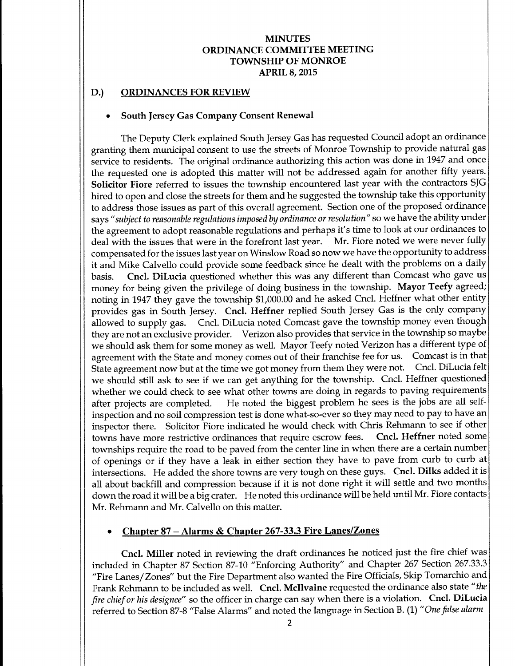### D.) ORDINANCES FOR REVIEW

#### South Jersey Gas Company Consent Renewal

The Deputy Clerk explained South Jersey Gas has requested Council adopt an ordinance granting them municipal consent to use the streets of Monroe Township to provide natural gas service to residents. The original ordinance authorizing this action was done in 1947 and once the requested one is adopted this matter will not be addressed again for another fifty years. Solicitor Fiore referred to issues the township encountered last year with the contractors SJG hired to open and close the streets for them and he suggested the township take this opportunity to address those issues as part of this overall agreement. Section one of the proposed ordinance says "subject to reasonable regulations imposed by ordinance or resolution" so we have the ability under the agreement to adopt reasonable regulations and perhaps it's time to look at our ordinances to deal with the issues that were in the forefront last year. Mr. Fiore noted we were never fully compensated for the issues last year on Winslow Road so now we have the opportunity to address it and Mike Calvello could provide some feedback since he dealt with the problems on a daily basis. Cncl. DiLucia questioned whether this was any different than Comcast who gave us money for being given the privilege of doing business in the township. Mayor Teefy agreed; noting in 1947 they gave the township \$1,000.00 and he asked Cncl. Heffner what other entity provides gas in South Jersey. Cncl. Heffner replied South Jersey Gas is the only company allowed to supply gas. Cncl. DiLucia noted Comcast gave the township money even though they are not an exclusive provider. Verizon also provides that service in the township so maybe we should ask them for some money as well. Mayor Teefy noted Verizon has a different type of agreement with the State and money comes out of their franchise fee for us. Comcast is in that State agreement now but at the time we got money from them they were not. Cncl. DiLucia felt we should still ask to see if we can get anything for the township. Cncl. Heffner questioned whether we could check to see what other towns are doing in regards to paving requirements after projects are completed. He noted the biggest problem he sees is the jobs are all self-He noted the biggest problem he sees is the jobs are all selfinspection and no soil compression test is done what-so-ever so they may need to pay to have an inspector there. Solicitor Fiore indicated he would check with Chris Rehmann to see if other towns have more restrictive ordinances that require escrow fees. Cncl. Heffner noted some townships require the road to be paved from the center line in when there are a certain number of openings or if they have <sup>a</sup> leak in either section they have to pave from curb to curb at intersections. He added the shore towns are very tough on these guys. Cncl. Dilks added it is all about backfill and compression because if it is not done right it will settle and two months down the road it will be a big crater. He noted this ordinance will be held until Mr. Fiore contacts Mr. Rehmann and Mr. Calvello on this matter.

## Chapter 87— Alarms & Chapter 267-33.3 Fire Lanes/Zones

Cncl. Miller noted in reviewing the draft ordinances he noticed just the fire chief was included in Chapter 87 Section 87-10 "Enforcing Authority" and Chapter 267 Section 267.33.3 Fire Lanes/ Zones" but the Fire Department also wanted the Fire Officials, Skip Tomarchio and Frank Rehmann to be included as well. Cncl. McIlvaine requested the ordinance also state "the fire chief or his designee" so the officer in charge can say when there is a violation. Cncl. DiLucia referred to Section 87-8 "False Alarms" and noted the language in Section B. (1) "One false alarm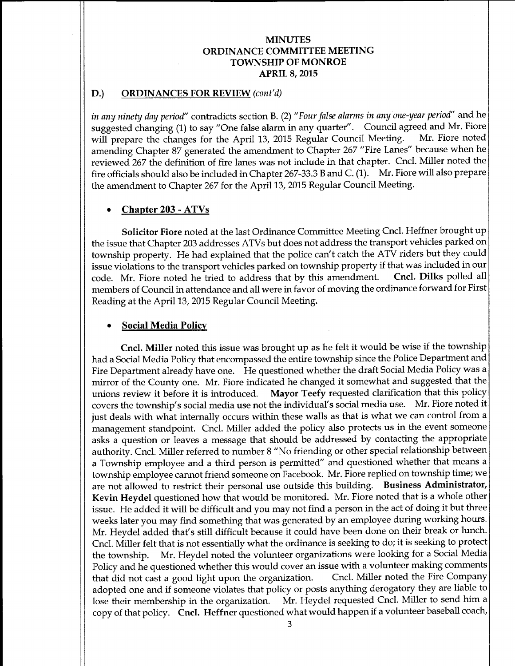### D.) ORDINANCES FOR REVIEW (cont'd)

in any ninety day period" contradicts section B. (2) "Four false alarms in any one-year period" and he suggested changing (1) to say "One false alarm in any quarter". Council agreed and Mr. Fiore will prepare the changes for the April 13, 2015 Regular Council Meeting. Mr. Fiore noted will prepare the changes for the April 13, 2015 Regular Council Meeting. amending Chapter 87 generated the amendment to Chapter 267 " Fire Lanes" because when he reviewed 267 the definition of fire lanes was not include in that chapter. Cncl. Miller noted the fire officials should also be included in Chapter 267-33.3 <sup>B</sup> and C. (1). Mr. Fiore will also prepare the amendment to Chapter 267 for the Apri113, 2015 Regular Council Meeting.

### Chapter 203 - ATVs

Solicitor Fiore noted at the last Ordinance Committee Meeting Cncl. Heffner brought up the issue that Chapter 203 addresses ATVs but does not address the transport vehicles parked on township property. He had explained that the police can' t catch the ATV riders but they could issue violations to the transport vehicles parked on township property if that was included in our code. Mr. Fiore noted he tried to address that by this amendment. Cncl. Dilks polled all code. Mr. Fiore noted he tried to address that by this amendment. members of Council in attendance and all were in favor of moving the ordinance forward for First Reading at the April 13, 2015 Regular Council Meeting.

### Social Media Policy

Cncl. Miller noted this issue was brought up as he felt it would be wise if the township had a Social Media Policy that encompassed the entire township since the Police Department and Fire Department already have one. He questioned whether the draft Social Media Policy was <sup>a</sup> mirror of the County one. Mr. Fiore indicated he changed it somewhat and suggested that the unions review it before it is introduced. Mayor Teefy requested clarification that this policy Mayor Teefy requested clarification that this policy covers the township's social media use not the individual's social media use. Mr. Fiore noted it just deals with what internally occurs within these walls as that is what we can control from a management standpoint. Cncl. Miller added the policy also protects us in the event someone asks a question or leaves a message that should be addressed by contacting the appropriate authority. Cncl. Miller referred to number 8 " No friending or other special relationship between a Township employee and a third person is permitted" and questioned whether that means <sup>a</sup> township employee cannot friend someone on Facebook. Mr. Fiore replied on township time; we are not allowed to restrict their personal use outside this building. Business Administrator, Kevin Heydel questioned how that would be monitored. Mr. Fiore noted that is <sup>a</sup> whole other issue. He added it will be difficult and you may not find <sup>a</sup> person in the act of doing it but three weeks later you may find something that was generated by an employee during working hours. Mr. Heydel added that's still difficult because it could have been done on their break or lunch. Cncl. Miller felt that is not essentially what the ordinance is seeking to do; it is seeking to protect the township. Mr. Heydel noted the volunteer organizations were looking for <sup>a</sup> Social Media Policy and he questioned whether this would cover an issue with a volunteer making comments<br>that did not cast a good light upon the organization. Cncl. Miller noted the Fire Company that did not cast a good light upon the organization. adopted one and if someone violates that policy or posts anything derogatory they are liable to lose their membership in the organization. Mr. Heydel requested Cncl. Miller to send him <sup>a</sup> copy of that policy. Cncl. Heffner questioned what would happen if a volunteer baseball coach,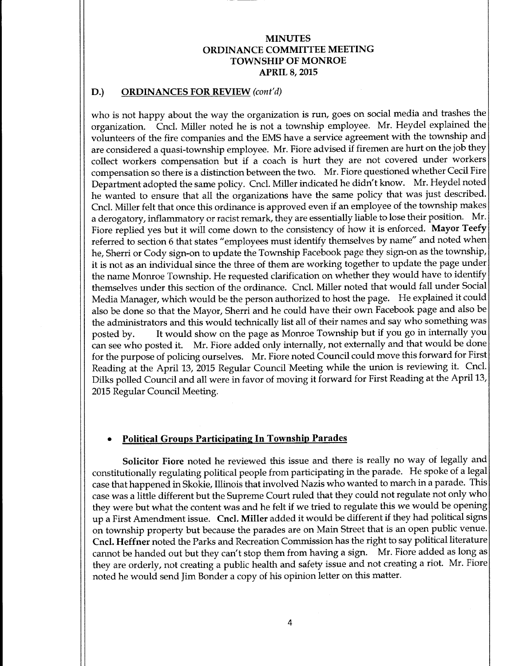#### D.) ORDINANCES FOR REVIEW (cont'd)

who is not happy about the way the organization is run, goes on social media and trashes the organization. Cncl. Miller noted he is not <sup>a</sup> township employee. Mr. Heydel explained the volunteers of the fire companies and the EMS have <sup>a</sup> service agreement with the township and are considered <sup>a</sup> quasi-township employee. Mr. Fiore advised if firemen are hurt on the job they collect workers compensation but if <sup>a</sup> coach is hurt they are not covered under workers compensation so there is <sup>a</sup> distinction between the two. Mr. Fiore questioned whether Cecil Fire Department adopted the same policy. Cncl. Miller indicated he didn'<sup>t</sup> know. Mr. Heydel noted he wanted to ensure that all the organizations have the same policy that was just described. Cncl. Miller felt that once this ordinance is approved even if an employee of the township makes <sup>a</sup> derogatory, inflammatory or racist remark, they are essentially liable to lose their position. Mr. Fiore replied yes but it will come down to the consistency of how it is enforced. Mayor Teefy referred to section 6 that states "employees must identify themselves by name" and noted when he, Sherri or Cody sign-on to update the Township Facebook page they sign-on as the township, it is not as an individual since the three of them are working together to update the page under the name Monroe Township. He requested clarification on whether they would have to identify themselves under this section of the ordinance. Cncl. Miller noted that would fall under Social Media Manager, which would be the person authorized to host the page. He explained it could also be done so that the Mayor, Sherri and he could have their own Facebook page and also be the administrators and this would technically list all of their names and say who something was posted by. It would show on the page as Monroe Township but if you go in internally you<br>can see who posted it. Mr. Fiore added only internally, not externally and that would be done Mr. Fiore added only internally, not externally and that would be done for the purpose of policing ourselves. Mr. Fiore noted Council could move this forward for First Reading at the April 13, 2015 Regular Council Meeting while the union is reviewing it. Cncl. Dilks polled Council and all were in favor of moving it forward for First Reading at the April 13, 2015 Regular Council Meeting.

### Political Groups Participating In Township Parades

Solicitor Fiore noted he reviewed this issue and there is really no way of legally and constitutionally regulating political people from participating in the parade. He spoke of <sup>a</sup> legal case that happened in Skokie, Illinois that involved Nazis who wanted to march in <sup>a</sup> parade. This case was a little different but the Supreme Court ruled that they could not regulate not only who they were but what the content was and he felt if we tried to regulate this we would be opening up <sup>a</sup> First Amendment issue. Cncl. Miller added it would be different if they had political signs on township property but because the parades are on Main Street that is an open public venue. Cncl. Heffner noted the Parks and Recreation Commission has the right to say political literature cannot be handed out but they can't stop them from having <sup>a</sup> sign. Mr. Fiore added as long as they are orderly, not creating a public health and safety issue and not creating a riot. Mr. Fiore noted he would send Jim Bonder a copy of his opinion letter on this matter.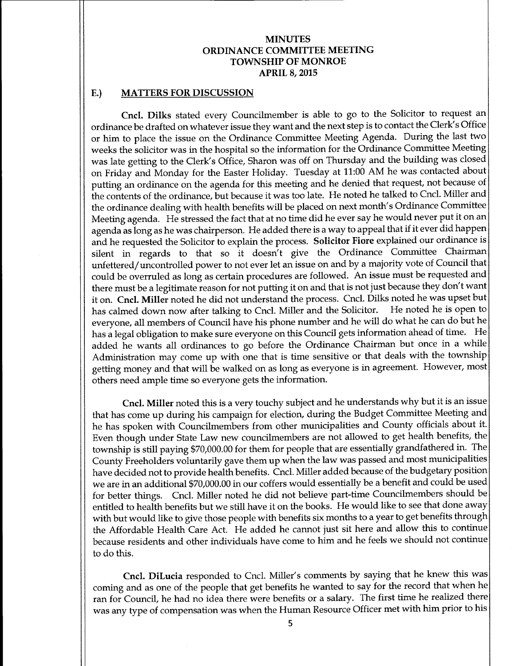#### E.) MATTERS FOR DISCUSSION

Cncl. Dilks stated every Councilmember is able to go to the Solicitor to request an ordinance be drafted on whatever issue they want and the next step is to contact the Clerk' <sup>s</sup> Office or him to place the issue on the Ordinance Committee Meeting Agenda. During the last two weeks the solicitor was in the hospital so the information for the Ordinance Committee Meeting was late getting to the Clerk's Office, Sharon was off on Thursday and the building was closed on Friday and Monday for the Easter Holiday. Tuesday at 11:00 AM he was contacted about putting an ordinance on the agenda for this meeting and he denied that request, not because of the contents of the ordinance, but because it was too late. He noted he talked to Cncl. Miller and the ordinance dealing with health benefits will be placed on next month's Ordinance Committee Meeting agenda. He stressed the fact that at no time did he ever say he would never put it on an agenda as long as he was chairperson. He added there is a way to appeal that if it ever did happen and he requested the Solicitor to explain the process. Solicitor Fiore explained our ordinance is silent in regards to that so it doesn't give the Ordinance Committee Chairman unfettered/ uncontrolled power to not ever let an issue on and by a majority vote of Council that could be overruled as long as certain procedures are followed. An issue must be requested and there must be a legitimate reason for not putting it on and that is not just because they don't want it on. Cncl. Miller noted he did not understand the process. Cncl. Dilks noted he was upset but<br>has calmed down now after talking to Cncl. Miller and the Solicitor. He noted he is open to has calmed down now after talking to Cncl. Miller and the Solicitor. everyone, all members of Council have his phone number and he will do what he can do but he has <sup>a</sup> legal obligation to make sure everyone on this Council gets information ahead of time. He added he wants all ordinances to go before the Ordinance Chairman but once in a while Administration may come up with one that is time sensitive or that deals with the township getting money and that will be walked on as long as everyone is in agreement. However, most others need ample time so everyone gets the information.

Cncl. Miller noted this is <sup>a</sup> very touchy subject and he understands why but it is an issue that has come up during his campaign for election, during the Budget Committee Meeting and he has spoken with Councilmembers from other municipalities and County officials about it. Even though under State Law new councilmembers are not allowed to get health benefits, the township is still paying \$70,000.00 for them for people that are essentially grandfathered in. The County Freeholders voluntarily gave them up when the law was passed and most municipalities have decided not to provide health benefits. Cncl. Miller added because of the budgetary position we are in an additional \$70,000.00 in our coffers would essentially be a benefit and could be used for better things. Cncl. Miller noted he did not believe part-time Councilmembers should be entitled to health benefits but we still have it on the books. He would like to see that done away with but would like to give those people with benefits six months to a year to get benefits through the Affordable Health Care Act. He added he cannot just sit here and allow this to continue because residents and other individuals have come to him and he feels we should not continue to do this.

Cncl. DiLucia responded to Cncl. Miller's comments by saying that he knew this was coming and as one of the people that get benefits he wanted to say for the record that when he ran for Council, he had no idea there were benefits or <sup>a</sup> salary. The first time he realized there was any type of compensation was when the Human Resource Officer met with him prior to his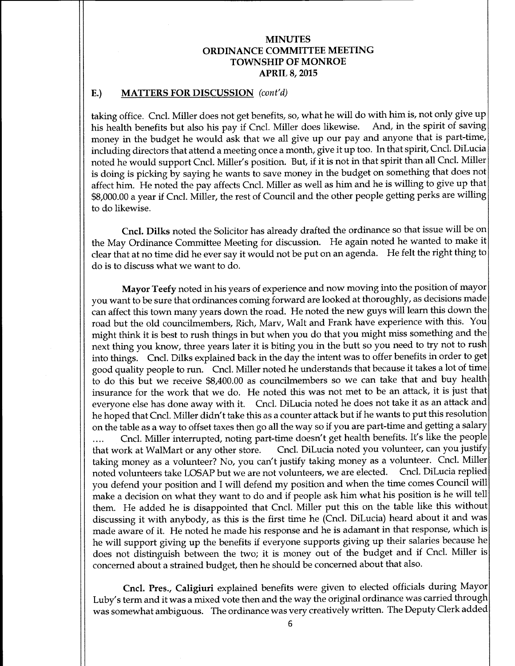# E.) MATTERS FOR DISCUSSION (cont'd)

taking office. Cncl. Miller does not get benefits, so, what he will do with him is, not only give up his health benefits but also his pay if Cncl. Miller does likewise. And, in the spirit of saving money in the budget he would ask that we all give up our pay and anyone that is part-time, including directors that attend <sup>a</sup> meeting once <sup>a</sup> month, give it up too. In that spirit, Cncl. DiLucia noted he would support Cncl. Miller' <sup>s</sup> position. But, if it is not in that spirit than all Cncl. Miller is doing is picking by saying he wants to save money in the budget on something that does not affect him. He noted the pay affects Cncl. Miller as well as him and he is willing to give up that 8, 000.00 <sup>a</sup> year if Cncl. Miller, the rest of Council and the other people getting perks are willing to do likewise.

Cncl. Dilks noted the Solicitor has already drafted the ordinance so that issue will be on the May Ordinance Committee Meeting for discussion. He again noted he wanted to make it clear that at no time did he ever say it would not be put on an agenda. He felt the right thing to do is to discuss what we want to do.

Mayor Teefy noted in his years of experience and now moving into the position of mayor you want to be sure that ordinances coming forward are looked at thoroughly, as decisions made can affect this town many years down the road. He noted the new guys will learn this down the road but the old councilmembers, Rich, Marv, Walt and Frank have experience with this. You might think it is best to rush things in but when you do that you might miss something and the next thing you know, three years later it is biting you in the butt so you need to try not to rush into things. Cncl. Dilks explained back in the day the intent was to offer benefits in order to get good quality people to run. Cncl. Miller noted he understands that because it takes <sup>a</sup> lot of time to do this but we receive \$8,400.00 as councilmembers so we can take that and buy health insurance for the work that we do. He noted this was not met to be an attack, it is just that everyone else has done away with it. Cncl. DiLucia noted he does not take it as an attack and he hoped that Cncl. Miller didn't take this as <sup>a</sup> counter attack but if he wants to put this resolution on the table as <sup>a</sup> way to offset taxes then go all the way so if you are part-time and getting <sup>a</sup> salary

.... Cncl. Miller interrupted, noting part-time doesn't get health benefits. It's like the people that work at WalMart or any other store. Cncl. DiLucia noted you volunteer, can you justify Cncl. DiLucia noted you volunteer, can you justify taking money as <sup>a</sup> volunteer? No, you can't justify taking money as <sup>a</sup> volunteer. Cncl. Miller noted volunteers take LOSAP but we are not volunteers, we are elected. Cncl. DiLucia replied you defend your position and I will defend my position and when the time comes Council will make <sup>a</sup> decision on what they want to do and if people ask him what his position is he will tell them. He added he is disappointed that Cncl. Miller put this on the table like this without discussing it with anybody, as this is the first time he (Cncl. DiLucia) heard about it and was made aware of it. He noted he made his response and he is adamant in that response, which is he will support giving up the benefits if everyone supports giving up their salaries because he does not distinguish between the two; it is money out of the budget and if Cncl. Miller is concerned about a strained budget, then he should be concerned about that also.

Cncl. Pres., Caligiuri explained benefits were given to elected officials during Mayor Luby's term and it was a mixed vote then and the way the original ordinance was carried through was somewhat ambiguous. The ordinance was very creatively written. The Deputy Clerk added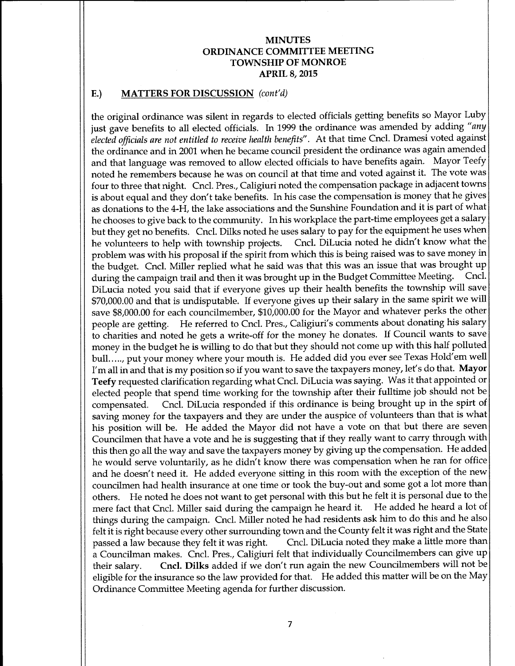### E.) MATTERS FOR DISCUSSION (cont'd)

the original ordinance was silent in regards to elected officials getting benefits so Mayor Luby just gave benefits to all elected officials. In 1999 the ordinance was amended by adding "any elected officials are not entitled to receive health benefits". At that time Cncl. Dramesi voted against the ordinance and in 2001 when he became council president the ordinance was again amended and that language was removed to allow elected officials to have benefits again. Mayor Teefy noted he remembers because he was on council at that time and voted against it. The vote was four to three that night. Cncl. Pres., Caligiuri noted the compensation package in adjacent towns is about equal and they don't take benefits. In his case the compensation is money that he gives as donations to the 4-H, the lake associations and the Sunshine Foundation and it is part of what he chooses to give back to the community. In his workplace the part-time employees get <sup>a</sup> salary but they get no benefits. Cncl. Dilks noted he uses salary to pay for the equipment he uses when<br>he volunteers to help with township projects. Cncl. DiLucia noted he didn't know what the Cncl. DiLucia noted he didn't know what the problem was with his proposal if the spirit from which this is being raised was to save money in the budget. Cncl. Miller replied what he said was that this was an issue that was brought up during the campaign trail and then it was brought up in the Budget Committee Meeting. Cncl. DiLucia noted you said that if everyone gives up their health benefits the township will save 70,000.00 and that is undisputable. If everyone gives up their salary in the same spirit we will save \$8,000.00 for each councilmember, \$10,000.00 for the Mayor and whatever perks the other people are getting. He referred to Cncl. Pres., Caligiuri's comments about donating his salary to charities and noted he gets <sup>a</sup> write-off for the money he donates. If Council wants to save money in the budget he is willing to do that but they should not come up with this half polluted bull....., put your money where your mouth is. He added did you ever see Texas Hold'em well I'm all in and that is my position so if you want to save the taxpayers money, let's do that. Mayor Teefy requested clarification regarding what Cncl. DiLucia was saying. Was it that appointed or elected people that spend time working for the township after their fulltime job should not be compensated. Cncl. DiLucia responded if this ordinance is being brought up in the spirt of saving money for the taxpayers and they are under the auspice of volunteers than that is what his position will be. He added the Mayor did not have <sup>a</sup> vote on that but there are seven Councilmen that have <sup>a</sup> vote and he is suggesting that if they really want to carry through with this then go all the way and save the taxpayers money by giving up the compensation. He added he would serve voluntarily, as he didn't know there was compensation when he ran for office and he doesn't need it. He added everyone sitting in this room with the exception of the new councilmen had health insurance at one time or took the buy-out and some got a lot more than others. He noted he does not want to get personal with this but he felt it is personal due to the mere fact that Cncl. Miller said during the campaign he heard it. He added he heard <sup>a</sup> lot of things during the campaign. Cncl. Miller noted he had residents ask him to do this and he also felt it is right because every other surrounding town and the County felt it was right and the State passed a law because they felt it was right. Cncl. DiLucia noted they make a little more than Cncl. DiLucia noted they make a little more than <sup>a</sup> Councilman makes. Cncl. Pres., Caligiuri felt that individually Councilmembers can give up their salary. Cncl. Dilks added if we don't run again the new Councilmembers will not be eligible for the insurance so the law provided for that. He added this matter will be on the May Ordinance Committee Meeting agenda for further discussion.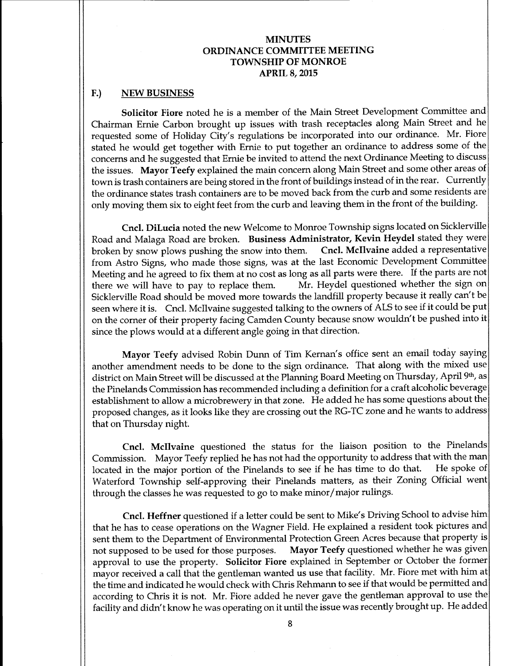#### F.) NEW BUSINESS

Solicitor Fiore noted he is a member of the Main Street Development Committee and Chairman Ernie Carbon brought up issues with trash receptacles along Main Street and he requested some of Holiday City's regulations be incorporated into our ordinance. Mr. Fiore stated he would get together with Ernie to put together an ordinance to address some of the concerns and he suggested that Ernie be invited to attend the next Ordinance Meeting to discuss the issues. Mayor Teefy explained the main concern along Main Street and some other areas of town is trash containers are being stored in the front of buildings instead of in the rear. Currently the ordinance states trash containers are to be moved back from the curb and some residents are only moving them six to eight feet from the curb and leaving them in the front of the building.

Cncl. DiLucia noted the new Welcome to Monroe Township signs located on Sicklerville Road and Malaga Road are broken. Business Administrator, Kevin Heydel stated they were broken by snow plows pushing the snow into them. Cncl. McIlvaine added a representative broken by snow plows pushing the snow into them. from Astro Signs, who made those signs, was at the last Economic Development Committee Meeting and he agreed to fix them at no cost as long as all parts were there. If the parts are not there we will have to pay to replace them. Mr. Heydel questioned whether the sign on there we will have to pay to replace them. Sicklerville Road should be moved more towards the landfill property because it really can't be seen where it is. Cncl. Mcllvaine suggested talking to the owners of ALS to see if it could be put on the corner of their property facing Camden County because snow wouldn't be pushed into it since the plows would at a different angle going in that direction.

Mayor Teefy advised Robin Dunn of Tim Kernan's office sent an email today saying another amendment needs to be done to the sign ordinance. That along with the mixed use district on Main Street will be discussed at the Planning Board Meeting on Thursday, April 9th, as the Pinelands Commission has recommended including a definition for <sup>a</sup> craft alcoholic beverage establishment to allow <sup>a</sup> microbrewery in that zone. He added he has some questions about the proposed changes, as it looks like they are crossing out the RG-TC zone and he wants to address that on Thursday night.

Cncl. Mcllvaine questioned the status for the liaison position to the Pinelands Commission. Mayor Teefy replied he has not had the opportunity to address that with the man located in the major portion of the Pinelands to see if he has time to do that. He spoke of located in the major portion of the Pinelands to see if he has time to do that. Waterford Township self-approving their Pinelands matters, as their Zoning Official went through the classes he was requested to go to make minor/ major rulings.

Cncl. Heffner questioned if a letter could be sent to Mike's Driving School to advise him that he has to cease operations on the Wagner Field. He explained a resident took pictures and sent them to the Department of Environmental Protection Green Acres because that property is not supposed to be used for those purposes. Mayor Teefy questioned whether he was given approval to use the property. Solicitor Fiore explained in September or October the former mayor received <sup>a</sup> call that the gentleman wanted us use that facility. Mr. Fiore met with him at the time and indicated he would check with Chris Rehmann to see if that would be permitted and according to Chris it is not. Mr. Fiore added he never gave the gentleman approval to use the facility and didn't know he was operating on it until the issue was recently brought up. He added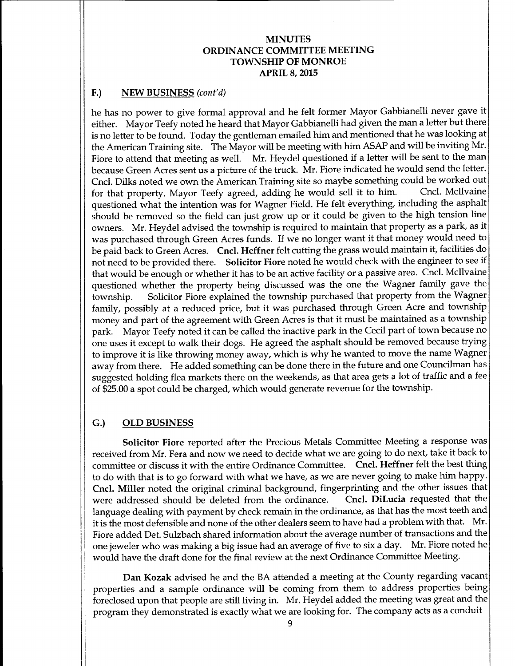# F.) NEW BUSINESS (cont'd)

he has no power to give formal approval and he felt former Mayor Gabbianelli never gave it either. Mayor Teefy noted he heard that Mayor Gabbianelli had given the man <sup>a</sup> letter but there is no letter to be found. Today the gentleman emailed him and mentioned that he was looking at the American Training site. The Mayor will be meeting with him ASAP and will be inviting Mr. Fiore to attend that meeting as well. Mr. Heydel questioned if <sup>a</sup> letter will be sent to the man because Green Acres sent us a picture of the truck. Mr. Fiore indicated he would send the letter. Cncl. Dilks noted we own the American Training site so maybe something could be worked out<br>for that property Mayor Teefy agreed, adding he would sell it to him. Cncl. McIlvaine for that property. Mayor Teefy agreed, adding he would sell it to him. questioned what the intention was for Wagner Field. He felt everything, including the asphalt should be removed so the field can just grow up or it could be given to the high tension line owners. Mr. Heydel advised the township is required to maintain that property as <sup>a</sup> park, as it was purchased through Green Acres funds. If we no longer want it that money would need to be paid back to Green Acres. Cncl. Heffner felt cutting the grass would maintain it, facilities do not need to be provided there. Solicitor Fiore noted he would check with the engineer to see if that would be enough or whether it has to be an active facility or <sup>a</sup> passive area. Cncl. Mcllvaine questioned whether the property being discussed was the one the Wagner family gave the township. Solicitor Fiore explained the township purchased that property from the Wagner family, possibly at <sup>a</sup> reduced price, but it was purchased through Green Acre and township money and part of the agreement with Green Acres is that it must be maintained as <sup>a</sup> township park. Mayor Teefy noted it can be called the inactive park in the Cecil part of town because no one uses it except to walk their dogs. He agreed the asphalt should be removed because trying to improve it is like throwing money away, which is why he wanted to move the name Wagner away from there. He added something can be done there in the future and one Councilman has suggested holding flea markets there on the weekends, as that area gets a lot of traffic and <sup>a</sup> fee of\$ 25.00 a spot could be charged, which would generate revenue for the township.

## G.) OLD BUSINESS

Solicitor Fiore reported after the Precious Metals Committee Meeting a response was received from Mr. Fera and now we need to decide what we are going to do next, take it back to committee or discuss it with the entire Ordinance Committee. Cncl. Heffner felt the best thing to do with that is to go forward with what we have, as we are never going to make him happy. Cncl. Miller noted the original criminal background, fingerprinting and the other issues that were addressed should be deleted from the ordinance. Cncl. DiLucia requested that the were addressed should be deleted from the ordinance. language dealing with payment by check remain in the ordinance, as that has the most teeth and it is the most defensible and none of the other dealers seem to have had <sup>a</sup> problem with that. Mr. Fiore added Det. Sulzbach shared information about the average number of transactions and the one jeweler who was making <sup>a</sup> big issue had an average of five to six <sup>a</sup> day. Mr. Fiore noted he would have the draft done for the final review at the next Ordinance Committee Meeting.

Dan Kozak advised he and the BA attended a meeting at the County regarding vacant properties and <sup>a</sup> sample ordinance will be coming from them to address properties being foreclosed upon that people are still living in. Mr. Heydel added the meeting was great and the program they demonstrated is exactly what we are looking for. The company acts as a conduit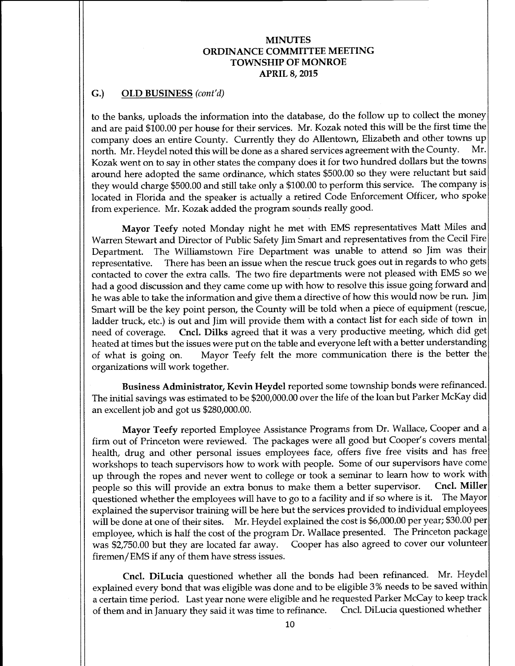### G.) OLD BUSINESS (cont'd)

to the banks, uploads the information into the database, do the follow up to collect the money and are paid \$100.00 per house for their services. Mr. Kozak noted this will be the first time the company does an entire County. Currently they do Allentown, Elizabeth and other towns up<br>north Mr Heydel noted this will be done as a shared services agreement with the County. Mr. north. Mr. Heydel noted this will be done as a shared services agreement with the County. Kozak went on to say in other states the company does it for two hundred dollars but the towns around here adopted the same ordinance, which states \$500.00 so they were reluctant but said they would charge \$500.00 and still take only a \$100.00 to perform this service. The company is located in Florida and the speaker is actually a retired Code Enforcement Officer, who spoke from experience. Mr. Kozak added the program sounds really good.

Mayor Teefy noted Monday night he met with EMS representatives Matt Miles and Warren Stewart and Director of Public Safety Jim Smart and representatives from the Cecil Fire Department. The Williamstown Fire Department was unable to attend so Jim was their representative. There has been an issue when the rescue truck goes out in regards to who gets contacted to cover the extra calls. The two fire departments were not pleased with EMS so we had a good discussion and they came come up with how to resolve this issue going forward and he was able to take the information and give them a directive of how this would now be run. Jim Smart will be the key point person, the County will be told when <sup>a</sup> piece of equipment (rescue, ladder truck, etc.) is out and Jim will provide them with <sup>a</sup> contact list for each side of town in need of coverage. Cncl. Dilks agreed that it was a very productive meeting, which did get heated at times but the issues were put on the table and everyone left with a better understanding of what is going on. Mayor Teefy felt the more communication there is the better the organizations will work together.

Business Administrator, Kevin Heydel reported some township bonds were refinanced. The initial savings was estimated to be \$200,000.00 over the life of the loan but Parker McKay did an excellent job and got us \$280,000.00.

Mayor Teefy reported Employee Assistance Programs from Dr. Wallace, Cooper and a firm out of Princeton were reviewed. The packages were all good but Cooper's covers mental health, drug and other personal issues employees face, offers five free visits and has free workshops to teach supervisors how to work with people. Some of our supervisors have come up through the ropes and never went to college or took a seminar to learn how to work with<br>people so this will provide an extra bonus to make them a better supervisor. Cncl. Miller people so this will provide an extra bonus to make them a better supervisor. questioned whether the employees will have to go to <sup>a</sup> facility and if so where is it. The Mayor explained the supervisor training will be here but the services provided to individual employees will be done at one of their sites. Mr. Heydel explained the cost is \$6,000.00 per year; \$30.00 per employee, which is half the cost of the program Dr. Wallace presented. The Princeton package was \$2,750.00 but they are located far away. Cooper has also agreed to cover our volunteer firemen/ EMS if any of them have stress issues.

Cncl. DiLucia questioned whether all the bonds had been refinanced. Mr. Heydel explained every bond that was eligible was done and to be eligible 3% needs to be saved within <sup>a</sup> certain time period. Last year none were eligible and he requested Parker McCay to keep track of them and in January they said it was time to refinance.